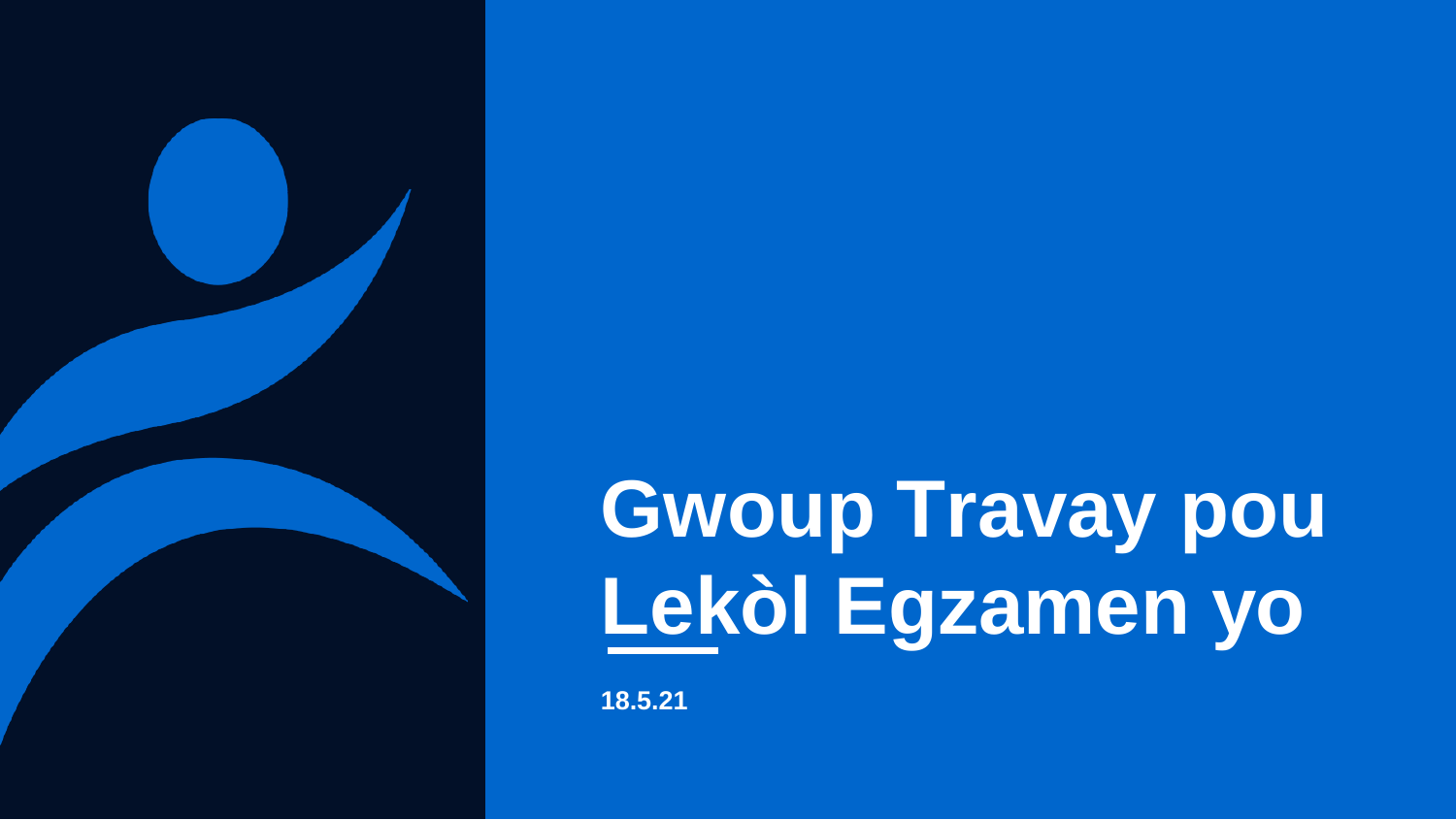

**18.5.21**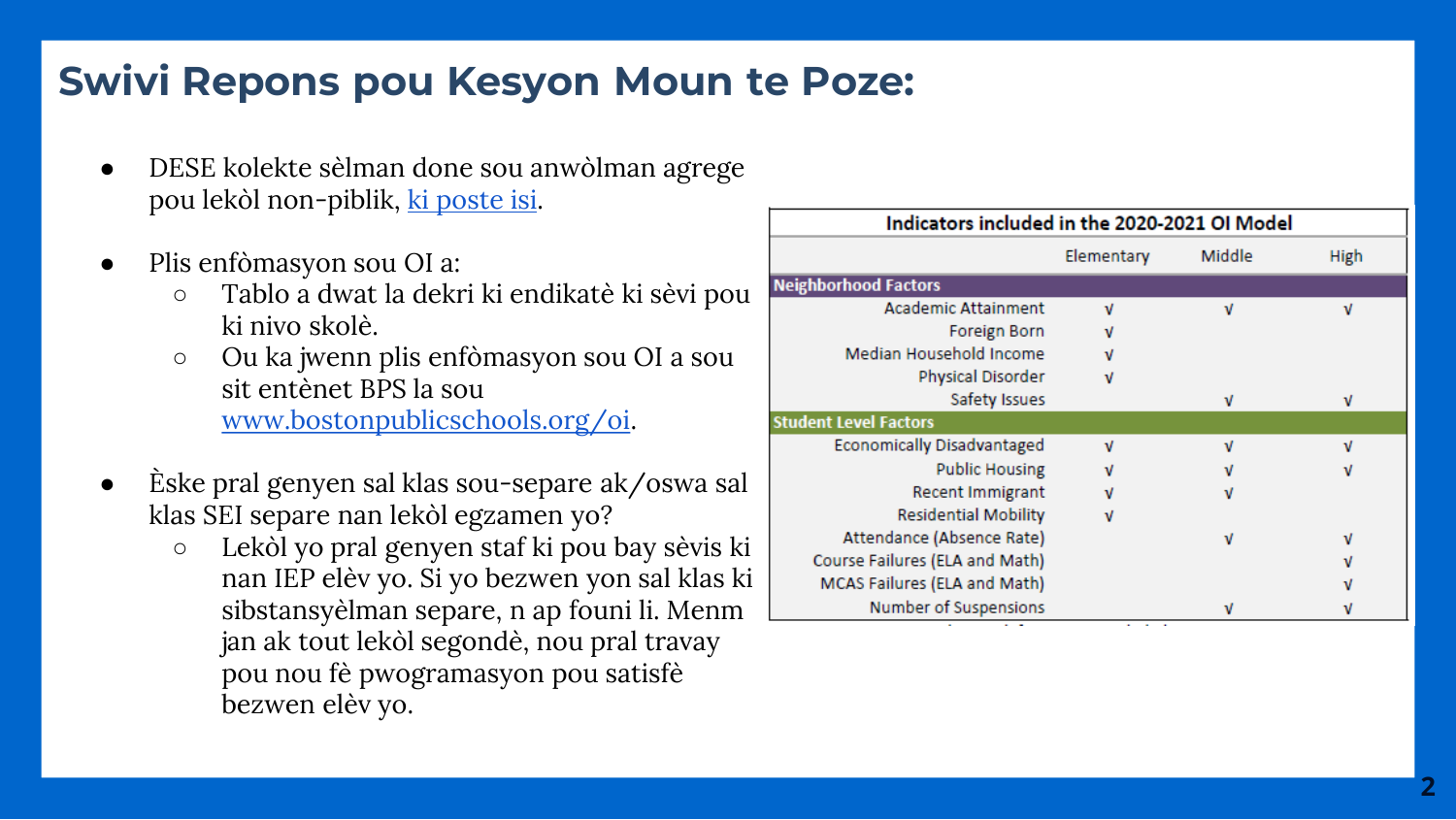# **Swivi Repons pou Kesyon Moun te Poze:**

- DESE kolekte sèlman done sou anwòlman agrege pou lekòl non-piblik, <u>ki poste isi</u>.
- Plis enfòmasyon sou OI a:
	- Tablo a dwat la dekri ki endikatè ki sèvi pou ki nivo skolè.
	- Ou ka jwenn plis enfòmasyon sou OI a sou sit entènet BPS la sou [www.bostonpublicschools.org/oi](http://www.bostonpublicschools.org/oi) .
- Èske pral genyen sal klas sou -separe ak/oswa sal klas SEI separe nan lekòl egzamen yo?
	- Lekòl yo pral genyen staf ki pou bay sèvis ki nan IEP elèv yo. Si yo bezwen yon sal klas ki sibstansyèlman separe, n ap founi li. Menm jan ak tout lekòl segondè, nou pral travay pou nou fè pwogramasyon pou satisfè bezwen elèv yo.

| Indicators included in the 2020-2021 OI Model |            |        |      |  |  |  |  |  |
|-----------------------------------------------|------------|--------|------|--|--|--|--|--|
|                                               | Elementary | Middle | High |  |  |  |  |  |
| <b>Neighborhood Factors</b>                   |            |        |      |  |  |  |  |  |
| <b>Academic Attainment</b>                    | ν          | ν      | ٧    |  |  |  |  |  |
| Foreign Born                                  | ν          |        |      |  |  |  |  |  |
| Median Household Income                       | ν          |        |      |  |  |  |  |  |
| Physical Disorder                             | ν          |        |      |  |  |  |  |  |
| Safety Issues                                 |            | ν      | ν    |  |  |  |  |  |
| <b>Student Level Factors</b>                  |            |        |      |  |  |  |  |  |
| <b>Economically Disadvantaged</b>             | ν          | ν      | ν    |  |  |  |  |  |
| <b>Public Housing</b>                         |            |        | ν    |  |  |  |  |  |
| <b>Recent Immigrant</b>                       |            | ν      |      |  |  |  |  |  |
| <b>Residential Mobility</b>                   | ν          |        |      |  |  |  |  |  |
| Attendance (Absence Rate)                     |            | ν      | ν    |  |  |  |  |  |
| Course Failures (ELA and Math)                |            |        | ν    |  |  |  |  |  |
| MCAS Failures (ELA and Math)                  |            |        | ν    |  |  |  |  |  |
| Number of Suspensions                         |            | ν      |      |  |  |  |  |  |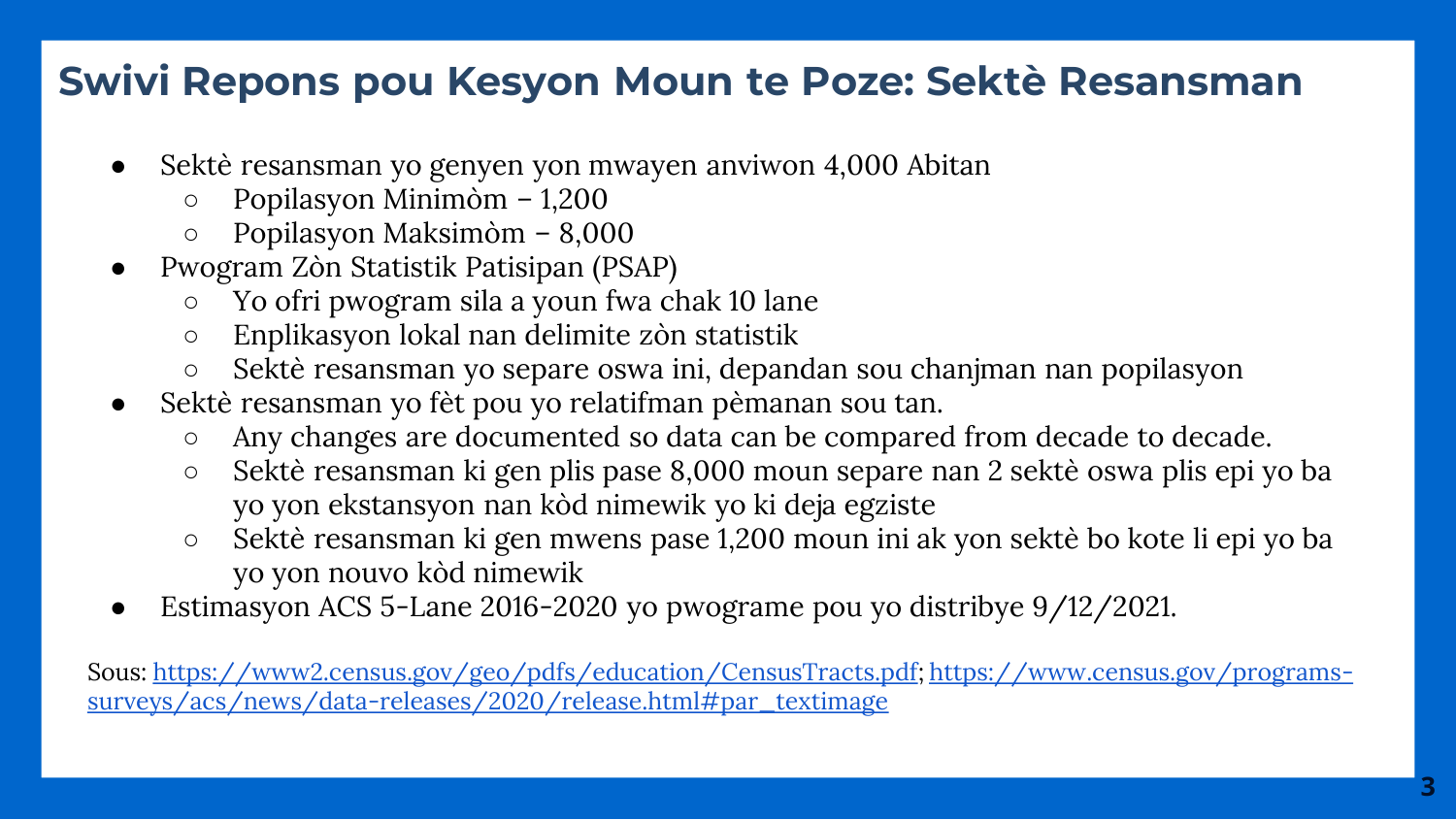# **Swivi Repons pou Kesyon Moun te Poze: Sektè Resansman**

- Sektè resansman yo genyen yon mwayen anviwon 4,000 Abitan
	- Popilasyon Minimòm 1,200
	- Popilasyon Maksimòm 8,000
- Pwogram Zòn Statistik Patisipan (PSAP)
	- Yo ofri pwogram sila a youn fwa chak 10 lane
	- Enplikasyon lokal nan delimite zòn statistik
	- Sektè resansman yo separe oswa ini, depandan sou chanjman nan popilasyon
- Sektè resansman yo fèt pou yo relatifman pèmanan sou tan.
	- Any changes are documented so data can be compared from decade to decade.
	- Sektè resansman ki gen plis pase 8,000 moun separe nan 2 sektè oswa plis epi yo ba yo yon ekstansyon nan kòd nimewik yo ki deja egziste
	- Sektè resansman ki gen mwens pase 1,200 moun ini ak yon sektè bo kote li epi yo ba yo yon nouvo kòd nimewik
- Estimasyon ACS 5-Lane 2016-2020 yo pwograme pou yo distribye 9/12/2021.

[Sous:](https://www.census.gov/programs-surveys/acs/news/data-releases/2020/release.html#par_textimage) <https://www2.census.gov/geo/pdfs/education/CensusTracts.pdf>[; https://www.census.gov/programs](https://www.census.gov/programs-surveys/acs/news/data-releases/2020/release.html#par_textimage)surveys/acs/news/data-releases/2020/release.html#par\_textimage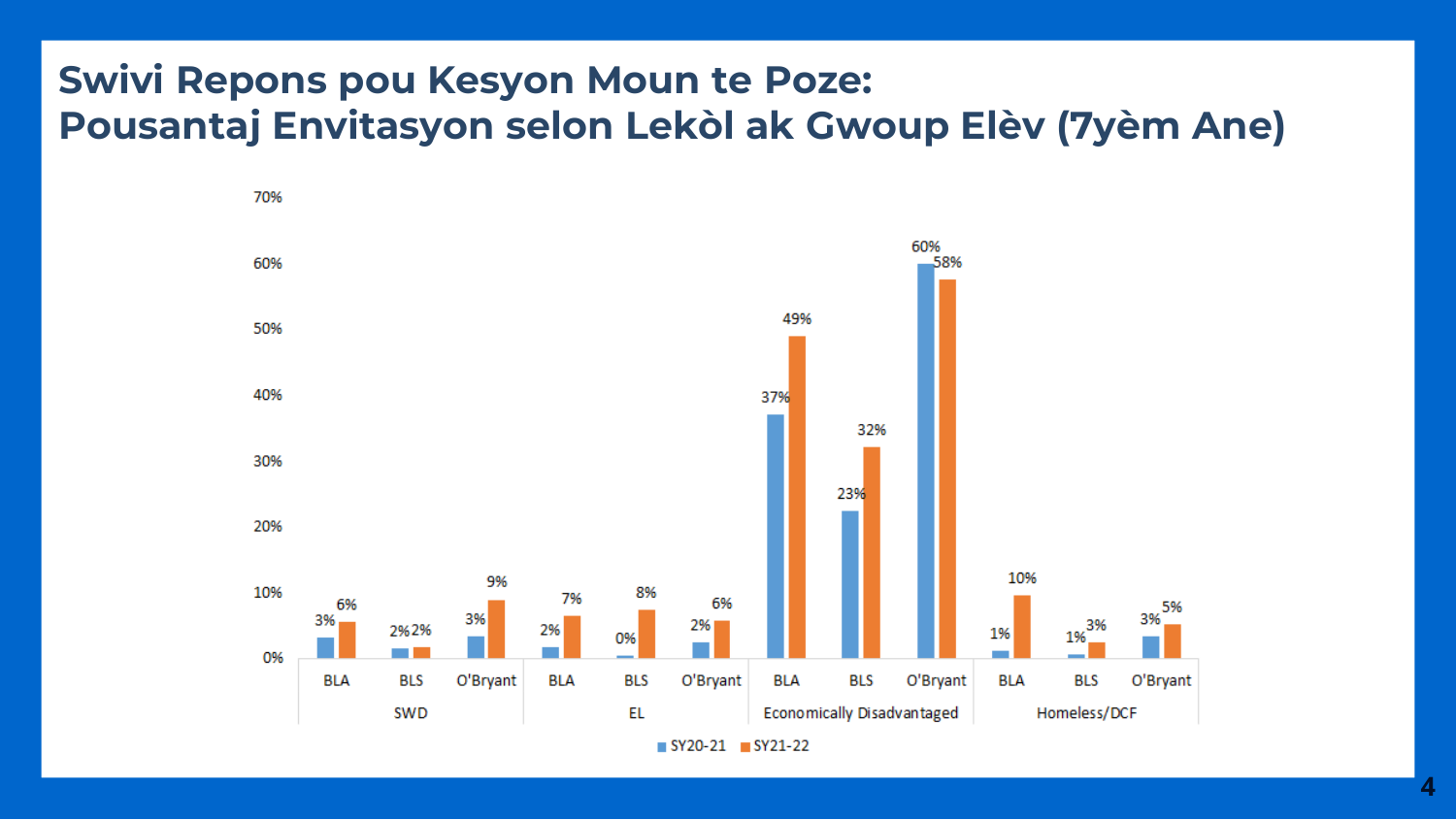### **Swivi Repons pou Kesyon Moun te Poze: Pousantaj Envitasyon selon Lekòl ak Gwoup Elèv (7yèm Ane)**



**4**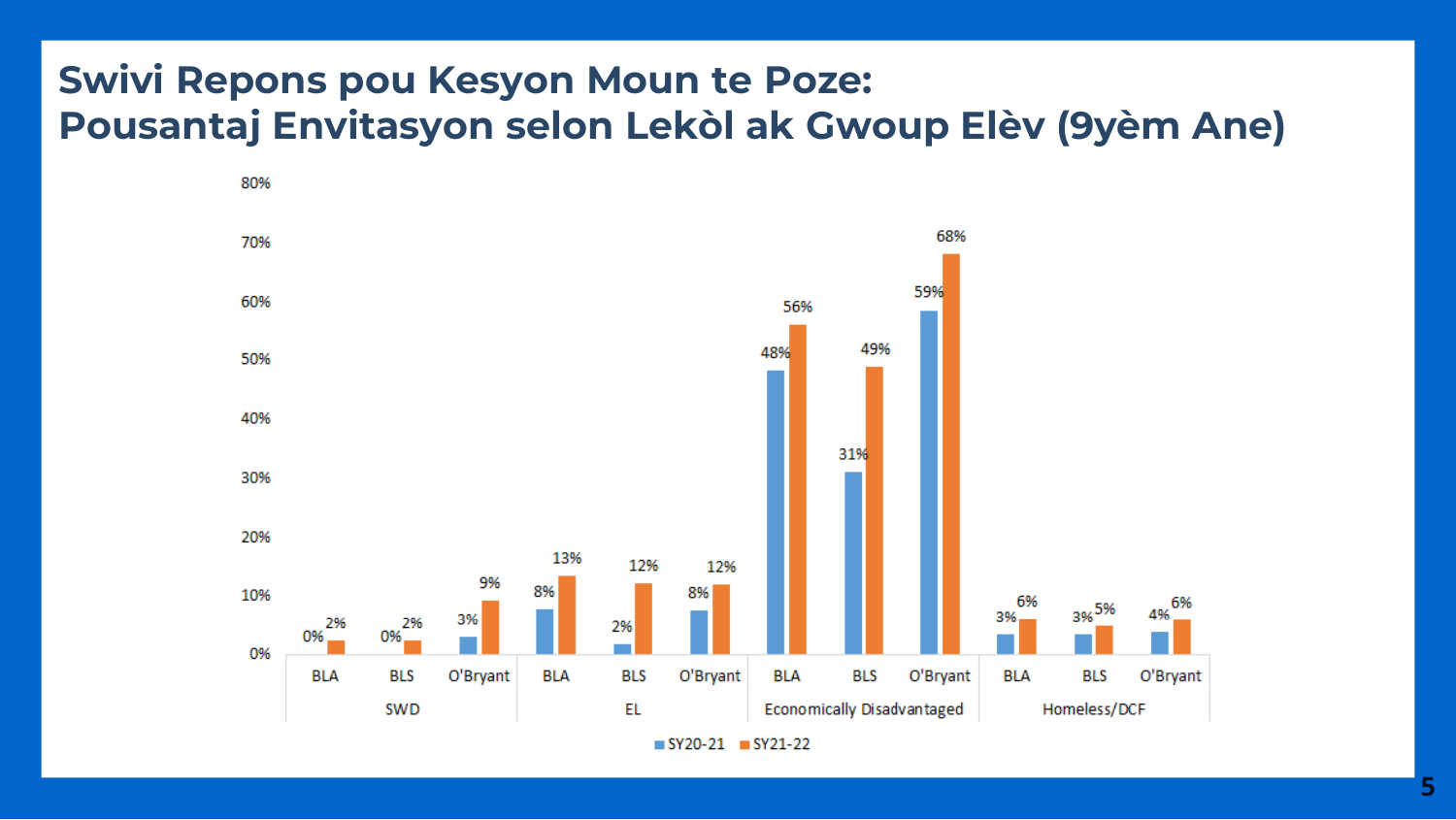### **Swivi Repons pou Kesyon Moun te Poze: Pousantaj Envitasyon selon Lekòl ak Gwoup Elèv (9yèm Ane)**

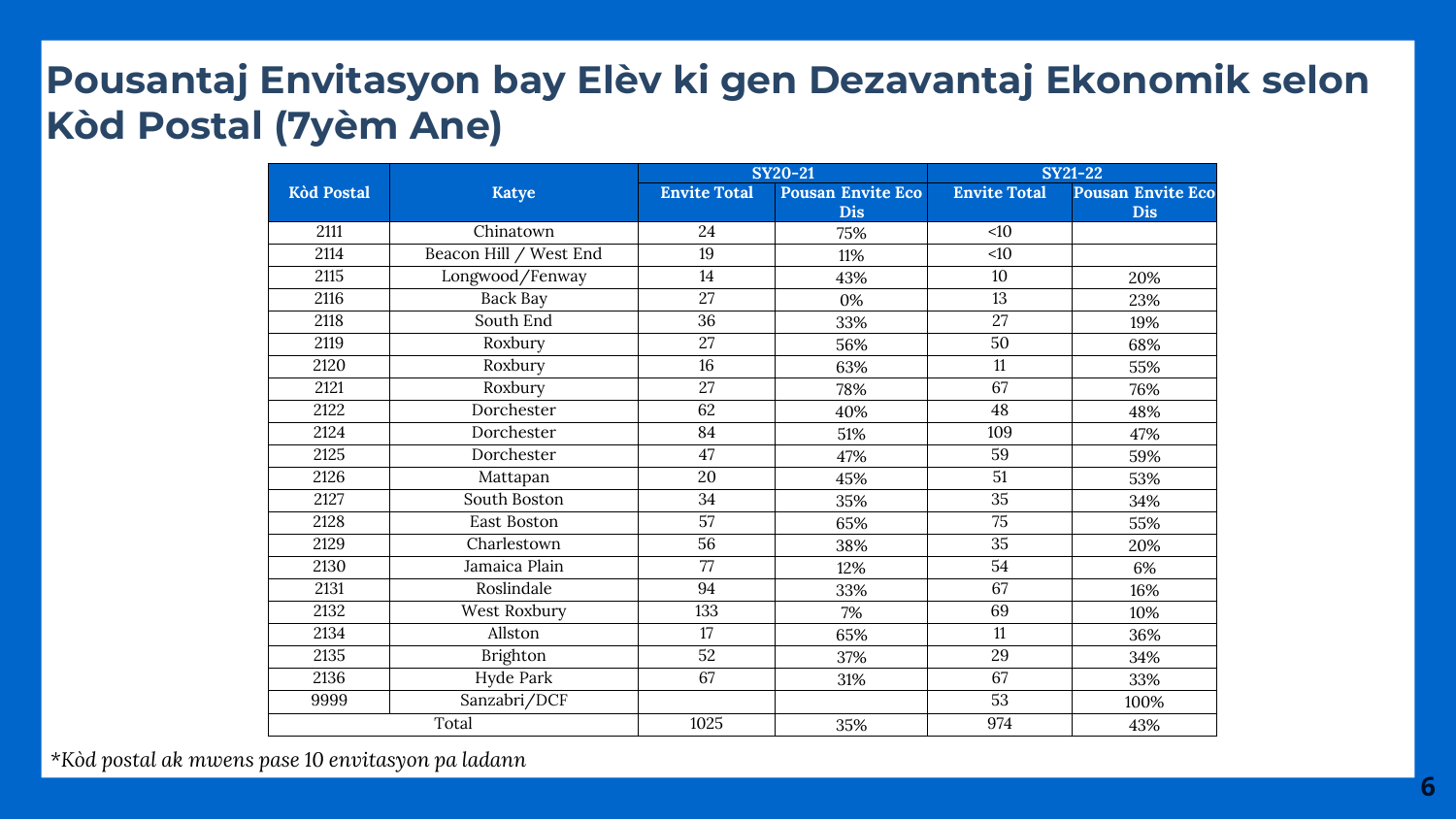## **Pousantaj Envitasyon bay Elèv ki gen Dezavantaj Ekonomik selon Kòd Postal (7yèm Ane)**

|                   |                        |                     | <b>SY20-21</b>           | <b>SY21-22</b>      |                          |  |
|-------------------|------------------------|---------------------|--------------------------|---------------------|--------------------------|--|
| <b>Kòd Postal</b> | <b>Katye</b>           | <b>Envite Total</b> | <b>Pousan Envite Eco</b> | <b>Envite Total</b> | <b>Pousan Envite Eco</b> |  |
|                   |                        |                     | <b>Dis</b>               |                     | <b>Dis</b>               |  |
| 2111              | Chinatown              | 24                  | 75%                      | <10                 |                          |  |
| 2114              | Beacon Hill / West End | 19                  | 11%                      | <10                 |                          |  |
| 2115              | Longwood/Fenway        | 14                  | 43%                      | 10                  | 20%                      |  |
| 2116              | Back Bay               | 27                  | 0%                       | 13                  | 23%                      |  |
| 2118              | South End              | 36                  | 33%                      | 27                  | 19%                      |  |
| 2119              | Roxbury                | 27                  | 56%                      | 50                  | 68%                      |  |
| 2120              | Roxbury                | 16                  | 63%                      | 11                  | 55%                      |  |
| 2121              | Roxbury                | 27                  | 78%                      | 67                  | 76%                      |  |
| 2122              | Dorchester             | 62                  | 40%                      | 48                  | 48%                      |  |
| 2124              | Dorchester             | 84                  | 51%                      | 109                 | 47%                      |  |
| 2125              | Dorchester             | 47                  | 47%                      | 59                  | 59%                      |  |
| 2126              | Mattapan               | 20                  | 45%                      | 51                  | 53%                      |  |
| 2127              | South Boston           | 34                  | 35%                      | 35                  | 34%                      |  |
| 2128              | East Boston            | 57                  | 65%                      | 75                  | 55%                      |  |
| 2129              | Charlestown            | 56                  | 38%                      | 35                  | 20%                      |  |
| 2130              | Jamaica Plain          | 77                  | 12%                      | 54                  | 6%                       |  |
| 2131              | Roslindale             | 94                  | 33%                      | 67                  | 16%                      |  |
| 2132              | West Roxbury           | 133                 | 7%                       | 69                  | 10%                      |  |
| 2134              | Allston                | 17                  | 65%                      | 11                  | 36%                      |  |
| 2135              | Brighton               | 52                  | 37%                      | 29                  | 34%                      |  |
| 2136              | Hyde Park              | 67                  | 31%                      | 67                  | 33%                      |  |
| 9999              | Sanzabri/DCF           |                     |                          | 53                  | 100%                     |  |
|                   | Total                  | 1025                | 35%                      | 974                 | 43%                      |  |

*\*Kòd postal ak mwens pase 10 envitasyon pa ladann*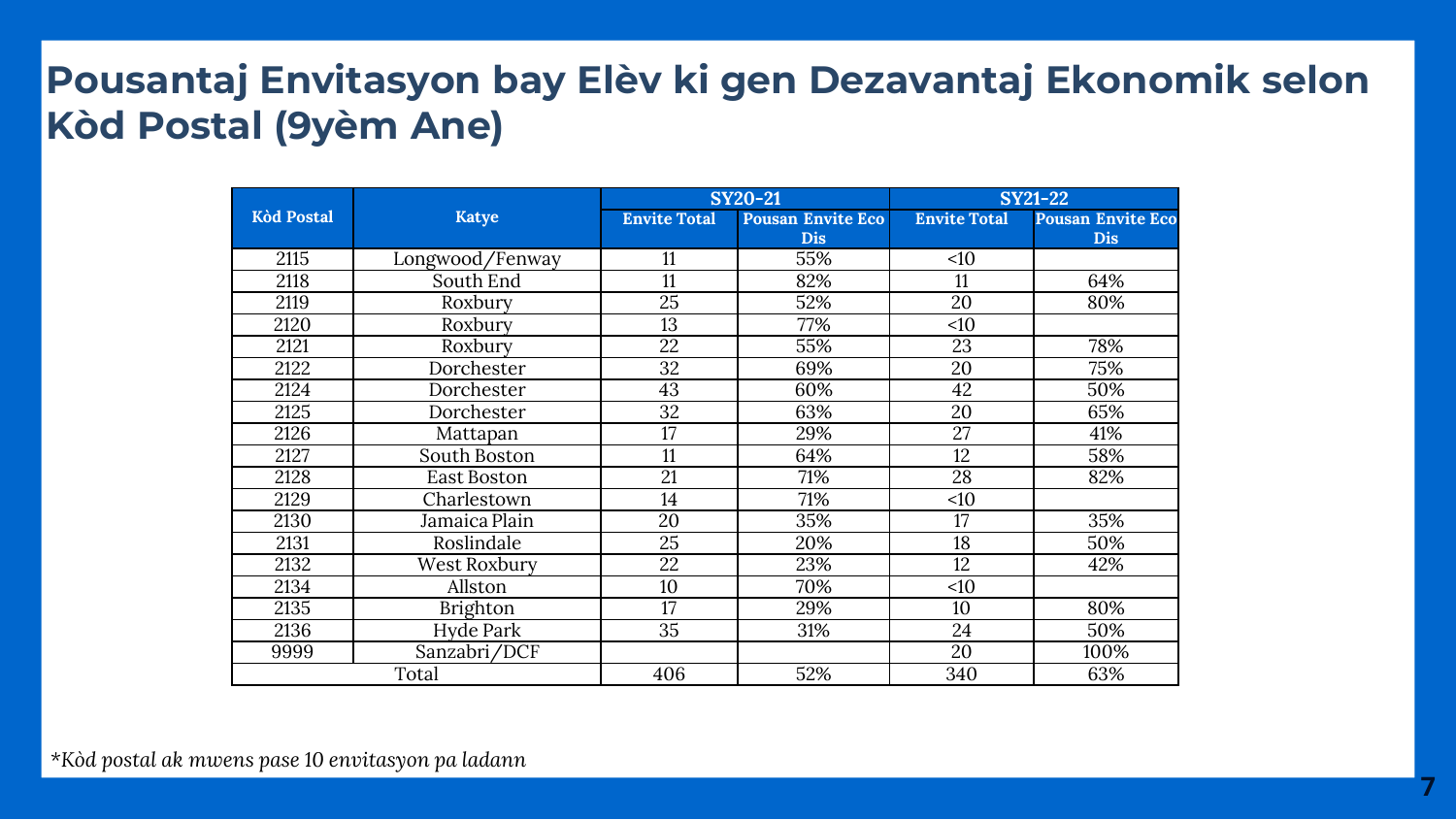## **Pousantaj Envitasyon bay Elèv ki gen Dezavantaj Ekonomik selon Kòd Postal (9yèm Ane)**

|                   |                    |                     | <b>SY20-21</b>           | <b>SY21-22</b>      |                          |  |
|-------------------|--------------------|---------------------|--------------------------|---------------------|--------------------------|--|
| <b>Kòd Postal</b> | <b>Katye</b>       | <b>Envite Total</b> | <b>Pousan Envite Eco</b> | <b>Envite Total</b> | <b>Pousan Envite Eco</b> |  |
|                   |                    |                     | <b>Dis</b>               |                     | <b>Dis</b>               |  |
| 2115              | Longwood/Fenway    | 11                  | 55%                      | <10                 |                          |  |
| 2118              | South End          | 11                  | 82%                      | 11                  | 64%                      |  |
| 2119              | Roxbury            | $\overline{25}$     | 52%                      | $\overline{20}$     | 80%                      |  |
| 2120              | Roxbury            | 13                  | 77%                      | <10                 |                          |  |
| 2121              | Roxbury            | 22                  | 55%                      | 23                  | 78%                      |  |
| 2122              | Dorchester         | 32                  | 69%                      | 20                  | 75%                      |  |
| 2124              | Dorchester         | 43                  | 60%                      | 42                  | 50%                      |  |
| 2125              | Dorchester         | $\overline{32}$     | 63%                      | 20                  | 65%                      |  |
| 2126              | Mattapan           | 17                  | 29%                      | 27                  | 41%                      |  |
| 2127              | South Boston       | 11                  | 64%                      | 12                  | 58%                      |  |
| 2128              | <b>East Boston</b> | 21                  | 71%                      | 28                  | 82%                      |  |
| 2129              | Charlestown        | 14                  | 71%                      | <10                 |                          |  |
| 2130              | Jamaica Plain      | 20                  | 35%                      | 17                  | 35%                      |  |
| 2131              | Roslindale         | $\overline{25}$     | 20%                      | 18                  | 50%                      |  |
| 2132              | West Roxbury       | 22                  | 23%                      | 12                  | 42%                      |  |
| 2134              | Allston            | 10                  | 70%                      | <10                 |                          |  |
| 2135              | <b>Brighton</b>    | 17                  | 29%                      | 10                  | 80%                      |  |
| 2136              | Hyde Park          | 35                  | 31%                      | 24                  | 50%                      |  |
| 9999              | Sanzabri/DCF       |                     |                          | 20                  | 100%                     |  |
|                   | Total              | 406                 | 52%                      | 340                 | 63%                      |  |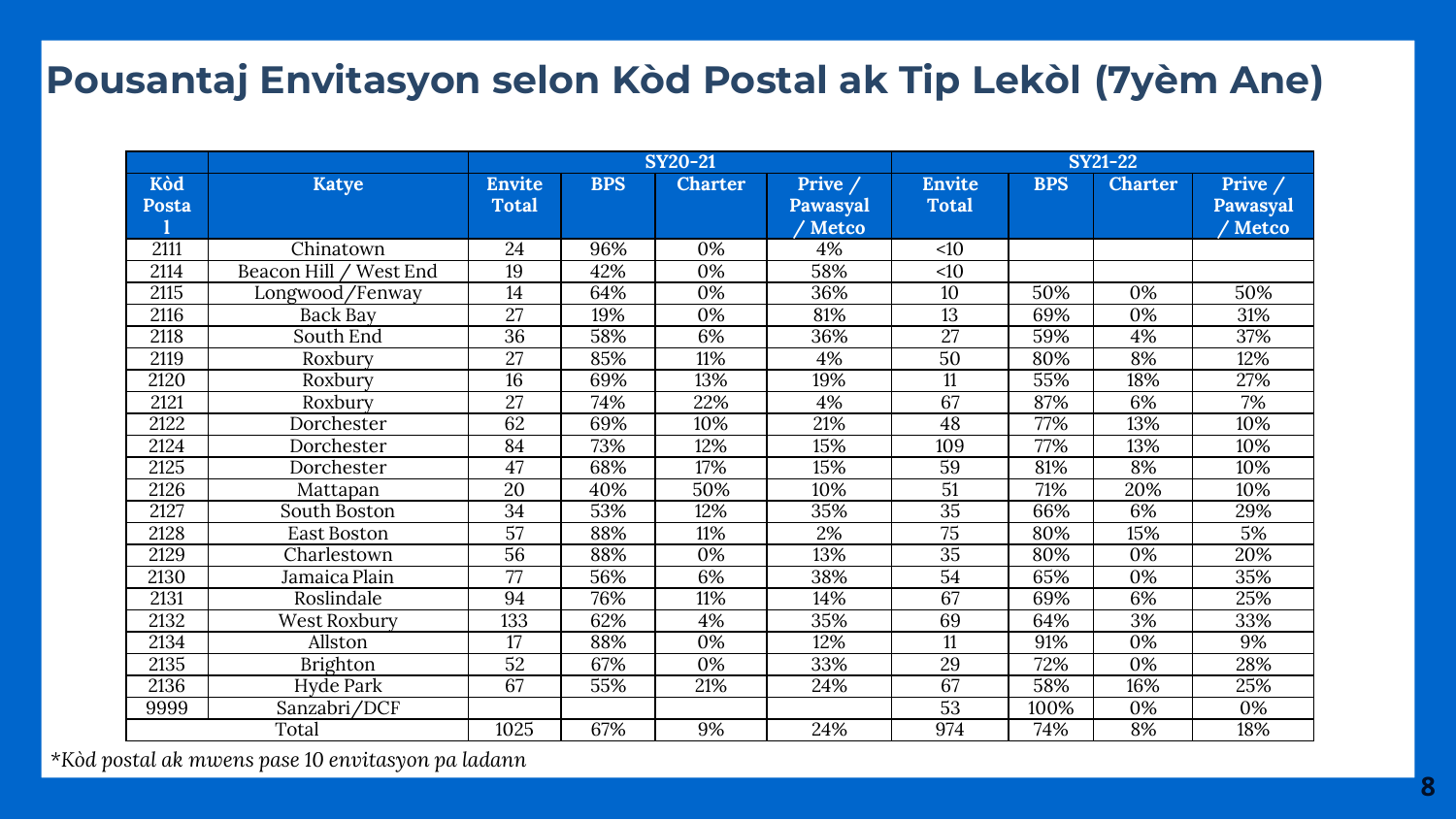#### **Pousantaj Envitasyon selon Kòd Postal ak Tip Lekòl (7yèm Ane)**

|       |                        | <b>SY20-21</b>  |            |                | <b>SY21-22</b> |                 |            |                |                 |
|-------|------------------------|-----------------|------------|----------------|----------------|-----------------|------------|----------------|-----------------|
| Kòd   | <b>Katye</b>           | <b>Envite</b>   | <b>BPS</b> | <b>Charter</b> | Prive /        | <b>Envite</b>   | <b>BPS</b> | <b>Charter</b> | Prive /         |
| Posta |                        | <b>Total</b>    |            |                | Pawasyal       | <b>Total</b>    |            |                | <b>Pawasyal</b> |
|       |                        |                 |            |                | ' Metco        |                 |            |                | / Metco         |
| 2111  | Chinatown              | 24              | 96%        | 0%             | 4%             | <10             |            |                |                 |
| 2114  | Beacon Hill / West End | 19              | 42%        | 0%             | 58%            | <10             |            |                |                 |
| 2115  | Longwood/Fenway        | 14              | 64%        | 0%             | 36%            | 10              | 50%        | 0%             | 50%             |
| 2116  | Back Bay               | 27              | 19%        | 0%             | 81%            | $\overline{13}$ | 69%        | 0%             | 31%             |
| 2118  | South End              | 36              | 58%        | 6%             | 36%            | 27              | 59%        | 4%             | 37%             |
| 2119  | Roxbury                | 27              | 85%        | 11%            | 4%             | 50              | 80%        | 8%             | 12%             |
| 2120  | Roxbury                | 16              | 69%        | 13%            | 19%            | 11              | 55%        | 18%            | 27%             |
| 2121  | Roxbury                | 27              | 74%        | 22%            | 4%             | 67              | 87%        | 6%             | 7%              |
| 2122  | Dorchester             | 62              | 69%        | 10%            | 21%            | 48              | 77%        | 13%            | 10%             |
| 2124  | Dorchester             | 84              | 73%        | 12%            | 15%            | 109             | 77%        | 13%            | 10%             |
| 2125  | Dorchester             | 47              | 68%        | 17%            | 15%            | 59              | 81%        | 8%             | 10%             |
| 2126  | Mattapan               | $\overline{20}$ | 40%        | 50%            | 10%            | $\overline{51}$ | 71%        | 20%            | 10%             |
| 2127  | South Boston           | 34              | 53%        | 12%            | 35%            | 35              | 66%        | 6%             | 29%             |
| 2128  | East Boston            | $\overline{57}$ | 88%        | 11%            | 2%             | $\overline{75}$ | 80%        | 15%            | 5%              |
| 2129  | Charlestown            | $\overline{56}$ | 88%        | 0%             | 13%            | $\overline{35}$ | 80%        | 0%             | 20%             |
| 2130  | Jamaica Plain          | 77              | 56%        | 6%             | 38%            | $\overline{54}$ | 65%        | 0%             | 35%             |
| 2131  | Roslindale             | 94              | 76%        | 11%            | 14%            | 67              | 69%        | 6%             | 25%             |
| 2132  | West Roxbury           | 133             | 62%        | 4%             | 35%            | 69              | 64%        | 3%             | 33%             |
| 2134  | Allston                | 17              | 88%        | 0%             | 12%            | 11              | 91%        | 0%             | 9%              |
| 2135  | <b>Brighton</b>        | $\overline{52}$ | 67%        | 0%             | 33%            | 29              | 72%        | 0%             | 28%             |
| 2136  | <b>Hyde Park</b>       | 67              | 55%        | 21%            | 24%            | 67              | 58%        | 16%            | 25%             |
| 9999  | Sanzabri/DCF           |                 |            |                |                | 53              | 100%       | 0%             | 0%              |
|       | Total                  | 1025            | 67%        | 9%             | 24%            | 974             | 74%        | 8%             | 18%             |

*\*Kòd postal ak mwens pase 10 envitasyon pa ladann*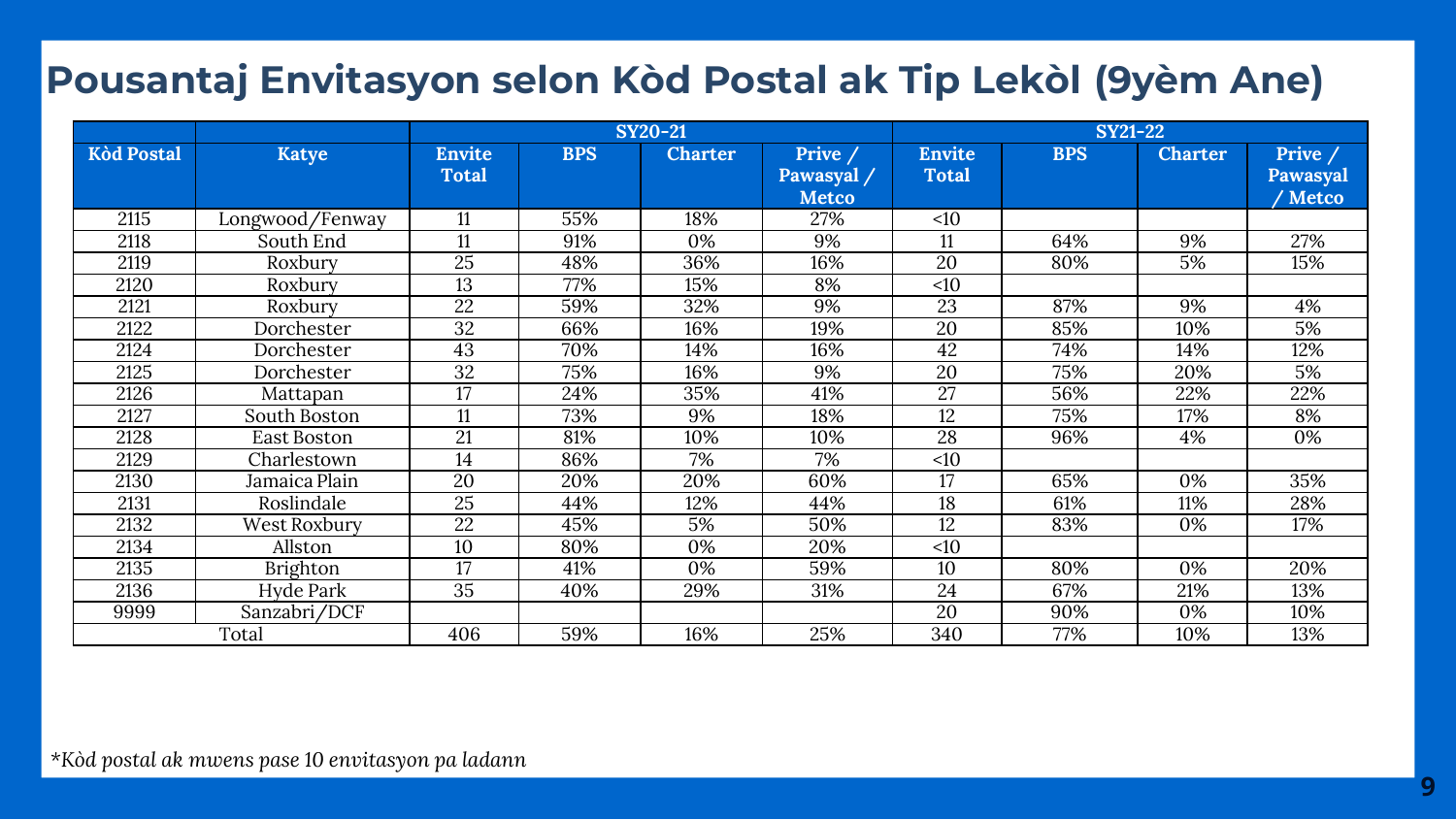### **Pousantaj Envitasyon selon Kòd Postal ak Tip Lekòl (9yèm Ane)**

|                   |                 | <b>SY20-21</b>  |            |                | $SY21-22$    |               |            |                |          |
|-------------------|-----------------|-----------------|------------|----------------|--------------|---------------|------------|----------------|----------|
| <b>Kòd Postal</b> | <b>Katye</b>    | <b>Envite</b>   | <b>BPS</b> | <b>Charter</b> | Prive /      | <b>Envite</b> | <b>BPS</b> | <b>Charter</b> | Prive /  |
|                   |                 | <b>Total</b>    |            |                | Pawasyal /   | <b>Total</b>  |            |                | Pawasyal |
|                   |                 |                 |            |                | <b>Metco</b> |               |            |                | ' Metco  |
| 2115              | Longwood/Fenway | 11              | 55%        | 18%            | 27%          | <10           |            |                |          |
| 2118              | South End       | 11              | 91%        | 0%             | 9%           | 11            | 64%        | 9%             | 27%      |
| 2119              | Roxbury         | 25              | 48%        | 36%            | 16%          | 20            | 80%        | 5%             | 15%      |
| 2120              | Roxbury         | 13              | 77%        | 15%            | 8%           | <10           |            |                |          |
| 2121              | Roxbury         | 22              | 59%        | 32%            | 9%           | 23            | 87%        | 9%             | 4%       |
| 2122              | Dorchester      | 32              | 66%        | 16%            | 19%          | 20            | 85%        | 10%            | 5%       |
| 2124              | Dorchester      | 43              | 70%        | 14%            | 16%          | 42            | 74%        | 14%            | 12%      |
| 2125              | Dorchester      | $\overline{32}$ | 75%        | 16%            | 9%           | 20            | 75%        | 20%            | 5%       |
| 2126              | Mattapan        | 17              | 24%        | 35%            | 41%          | 27            | 56%        | 22%            | 22%      |
| 2127              | South Boston    | 11              | 73%        | 9%             | 18%          | 12            | 75%        | 17%            | 8%       |
| 2128              | East Boston     | 21              | 81%        | 10%            | 10%          | 28            | 96%        | 4%             | 0%       |
| 2129              | Charlestown     | 14              | 86%        | 7%             | 7%           | <10           |            |                |          |
| 2130              | Jamaica Plain   | 20              | 20%        | 20%            | 60%          | 17            | 65%        | 0%             | 35%      |
| 2131              | Roslindale      | 25              | 44%        | 12%            | 44%          | 18            | 61%        | 11%            | 28%      |
| 2132              | West Roxbury    | 22              | 45%        | 5%             | 50%          | 12            | 83%        | 0%             | 17%      |
| 2134              | Allston         | 10              | 80%        | 0%             | 20%          | <10           |            |                |          |
| 2135              | <b>Brighton</b> | 17              | 41%        | 0%             | 59%          | 10            | 80%        | 0%             | 20%      |
| 2136              | Hyde Park       | 35              | 40%        | 29%            | 31%          | 24            | 67%        | 21%            | 13%      |
| 9999              | Sanzabri/DCF    |                 |            |                |              | 20            | 90%        | 0%             | 10%      |
|                   | Total           | 406             | 59%        | 16%            | 25%          | 340           | 77%        | 10%            | 13%      |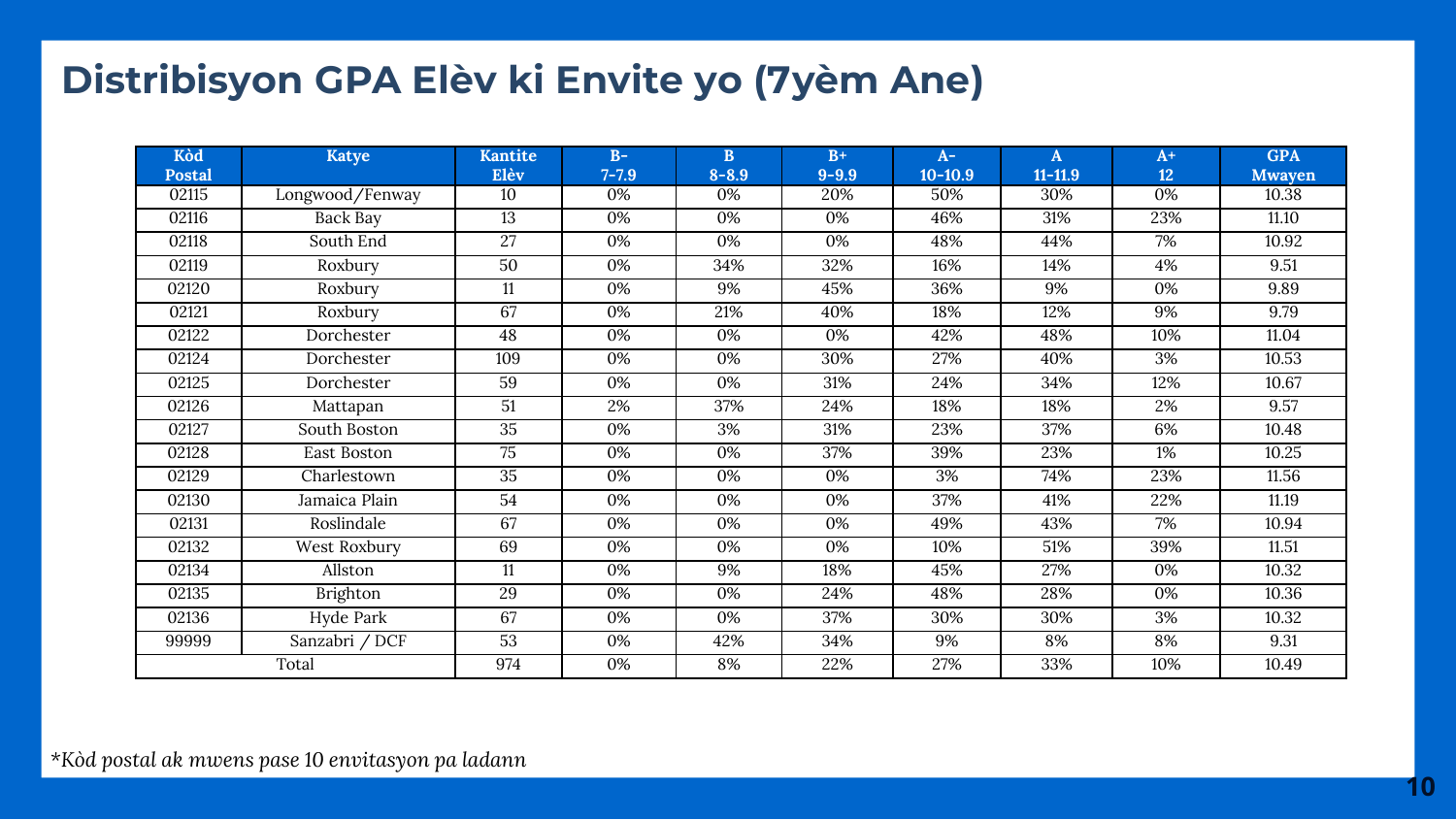## **Distribisyon GPA Elèv ki Envite yo (7yèm Ane)**

| Kòd           | <b>Katye</b>    | <b>Kantite</b>  | $B-$      | B         | $B+$      | $A-$        | A           | $A+$ | <b>GPA</b>    |
|---------------|-----------------|-----------------|-----------|-----------|-----------|-------------|-------------|------|---------------|
| <b>Postal</b> |                 | Elèv            | $7 - 7.9$ | $8 - 8.9$ | $9 - 9.9$ | $10 - 10.9$ | $11 - 11.9$ | 12   | <b>Mwayen</b> |
| 02115         | Longwood/Fenway | 10              | 0%        | 0%        | 20%       | 50%         | 30%         | 0%   | 10.38         |
| 02116         | Back Bay        | $\overline{13}$ | 0%        | 0%        | 0%        | 46%         | 31%         | 23%  | 11.10         |
| 02118         | South End       | 27              | 0%        | 0%        | 0%        | 48%         | 44%         | 7%   | 10.92         |
| 02119         | Roxbury         | 50              | 0%        | 34%       | 32%       | 16%         | 14%         | 4%   | 9.51          |
| 02120         | Roxbury         | 11              | 0%        | 9%        | 45%       | 36%         | 9%          | 0%   | 9.89          |
| 02121         | Roxbury         | 67              | 0%        | 21%       | 40%       | 18%         | 12%         | 9%   | 9.79          |
| 02122         | Dorchester      | 48              | 0%        | 0%        | 0%        | 42%         | 48%         | 10%  | 11.04         |
| 02124         | Dorchester      | 109             | 0%        | 0%        | 30%       | 27%         | 40%         | 3%   | 10.53         |
| 02125         | Dorchester      | 59              | 0%        | 0%        | 31%       | 24%         | 34%         | 12%  | 10.67         |
| 02126         | Mattapan        | 51              | 2%        | 37%       | 24%       | 18%         | 18%         | 2%   | 9.57          |
| 02127         | South Boston    | $\overline{35}$ | 0%        | 3%        | 31%       | 23%         | 37%         | 6%   | 10.48         |
| 02128         | East Boston     | 75              | 0%        | 0%        | 37%       | 39%         | 23%         | 1%   | 10.25         |
| 02129         | Charlestown     | 35              | 0%        | 0%        | 0%        | 3%          | 74%         | 23%  | 11.56         |
| 02130         | Jamaica Plain   | 54              | 0%        | 0%        | 0%        | 37%         | 41%         | 22%  | 11.19         |
| 02131         | Roslindale      | 67              | 0%        | 0%        | 0%        | 49%         | 43%         | 7%   | 10.94         |
| 02132         | West Roxbury    | 69              | 0%        | 0%        | 0%        | 10%         | 51%         | 39%  | 11.51         |
| 02134         | Allston         | 11              | 0%        | 9%        | 18%       | 45%         | 27%         | 0%   | 10.32         |
| 02135         | Brighton        | 29              | 0%        | 0%        | 24%       | 48%         | 28%         | 0%   | 10.36         |
| 02136         | Hyde Park       | 67              | 0%        | 0%        | 37%       | 30%         | 30%         | 3%   | 10.32         |
| 99999         | Sanzabri / DCF  | 53              | 0%        | 42%       | 34%       | 9%          | 8%          | 8%   | 9.31          |
|               | Total           | 974             | 0%        | 8%        | 22%       | 27%         | 33%         | 10%  | 10.49         |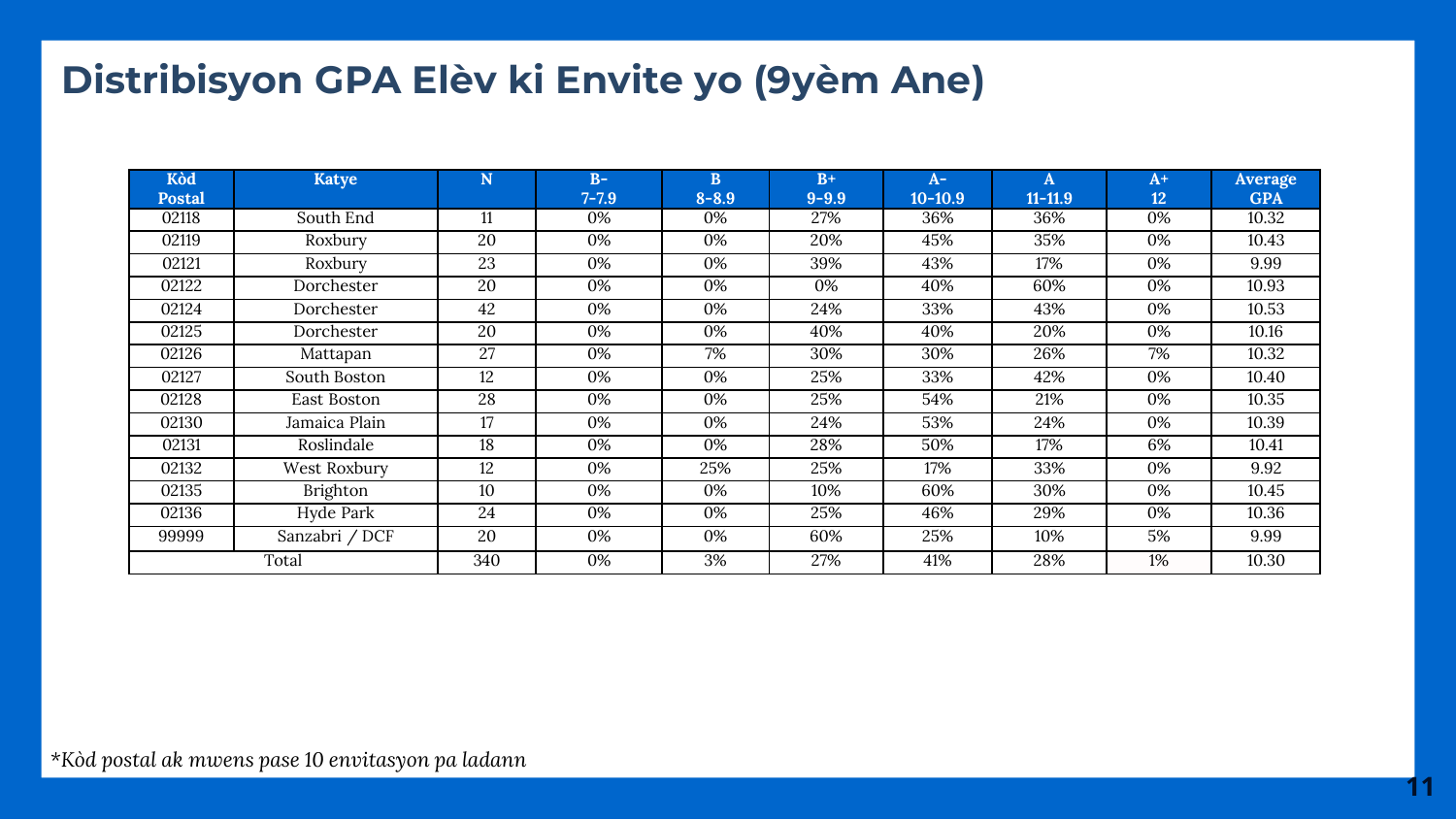### **Distribisyon GPA Elèv ki Envite yo (9yèm Ane)**

| Kòd<br><b>Postal</b> | Katye          | N   | $B-$<br>$7 - 7.9$ | B<br>$8 - 8.9$ | $B+$<br>$9 - 9.9$ | $A-1$<br>$10 - 10.9$ | A<br>$11 - 11.9$ | $A+$<br>12 | Average<br><b>GPA</b> |
|----------------------|----------------|-----|-------------------|----------------|-------------------|----------------------|------------------|------------|-----------------------|
| 02118                | South End      | 11  | 0%                | 0%             | 27%               | 36%                  | 36%              | 0%         | 10.32                 |
| 02119                | Roxbury        | 20  | 0%                | 0%             | 20%               | 45%                  | 35%              | 0%         | 10.43                 |
| 02121                | Roxbury        | 23  | 0%                | 0%             | 39%               | 43%                  | 17%              | 0%         | 9.99                  |
| 02122                | Dorchester     | 20  | 0%                | 0%             | 0%                | 40%                  | 60%              | 0%         | 10.93                 |
| 02124                | Dorchester     | 42  | 0%                | 0%             | 24%               | 33%                  | 43%              | 0%         | 10.53                 |
| 02125                | Dorchester     | 20  | 0%                | 0%             | 40%               | 40%                  | 20%              | 0%         | 10.16                 |
| 02126                | Mattapan       | 27  | 0%                | 7%             | 30%               | 30%                  | 26%              | 7%         | 10.32                 |
| 02127                | South Boston   | 12  | 0%                | 0%             | 25%               | 33%                  | 42%              | 0%         | 10.40                 |
| 02128                | East Boston    | 28  | 0%                | 0%             | 25%               | 54%                  | 21%              | 0%         | 10.35                 |
| 02130                | Jamaica Plain  | 17  | 0%                | 0%             | 24%               | 53%                  | 24%              | 0%         | 10.39                 |
| 02131                | Roslindale     | 18  | 0%                | 0%             | 28%               | 50%                  | 17%              | 6%         | 10.41                 |
| 02132                | West Roxbury   | 12  | 0%                | 25%            | 25%               | 17%                  | 33%              | 0%         | 9.92                  |
| 02135                | Brighton       | 10  | 0%                | 0%             | 10%               | 60%                  | 30%              | 0%         | 10.45                 |
| 02136                | Hyde Park      | 24  | 0%                | 0%             | 25%               | 46%                  | 29%              | 0%         | 10.36                 |
| 99999                | Sanzabri / DCF | 20  | 0%                | 0%             | 60%               | 25%                  | 10%              | 5%         | 9.99                  |
|                      | Total          | 340 | 0%                | 3%             | 27%               | 41%                  | 28%              | 1%         | 10.30                 |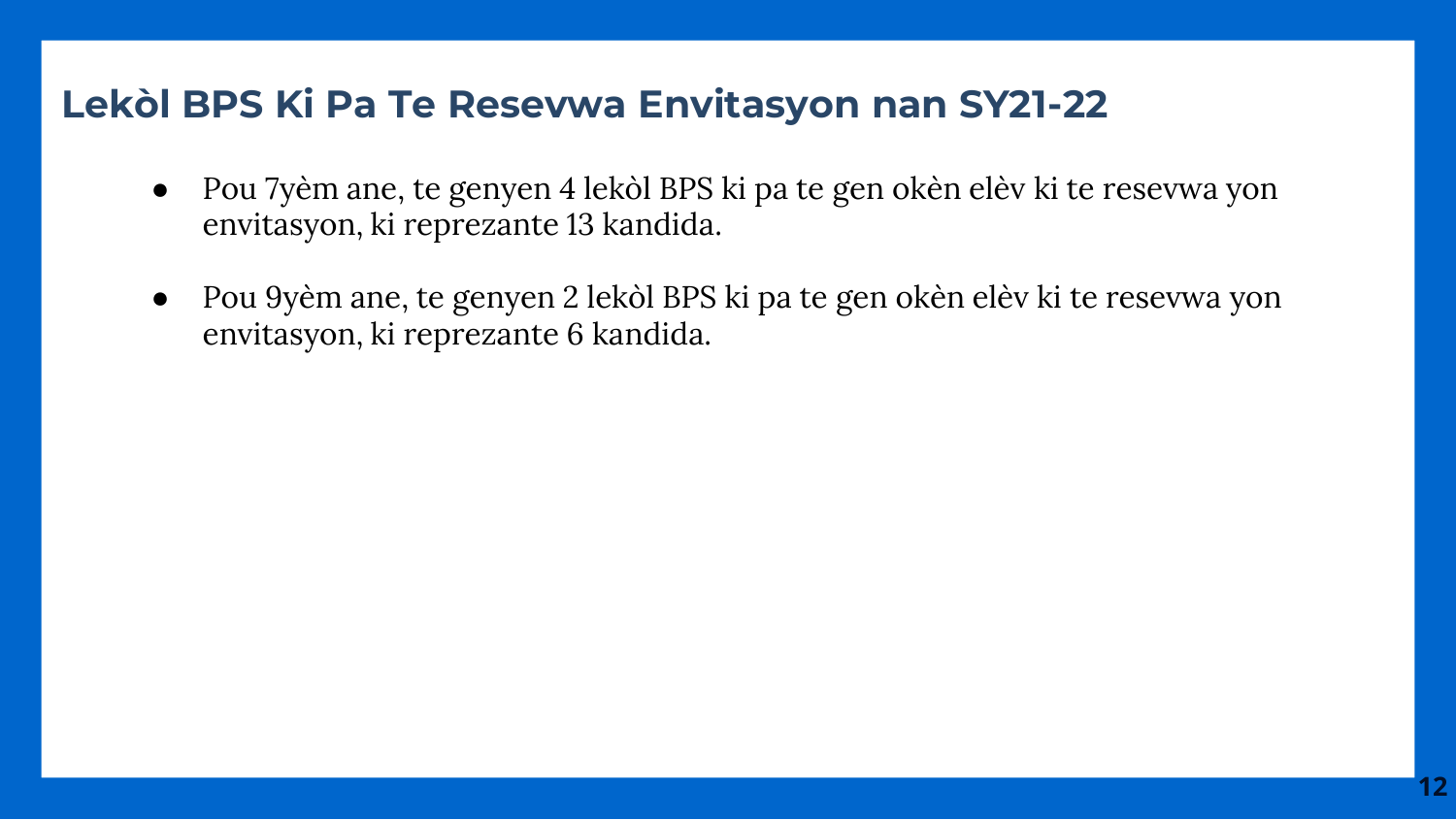#### **Lekòl BPS Ki Pa Te Resevwa Envitasyon nan SY21-22**

- Pou 7yèm ane, te genyen 4 lekòl BPS ki pa te gen okèn elèv ki te resevwa yon envitasyon, ki reprezante 13 kandida.
- Pou 9yèm ane, te genyen 2 lekòl BPS ki pa te gen okèn elèv ki te resevwa yon envitasyon, ki reprezante 6 kandida.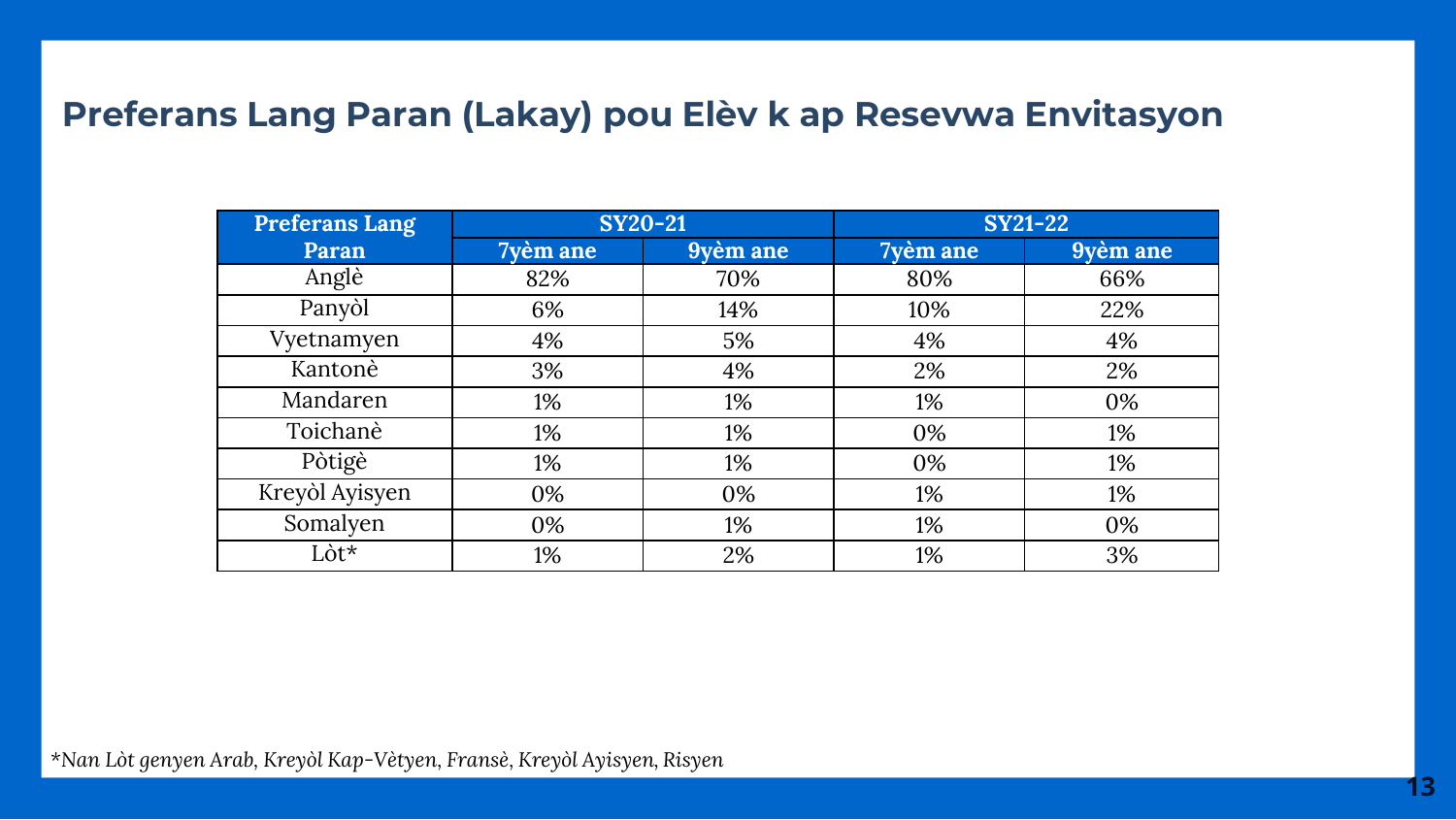#### **Preferans Lang Paran (Lakay) pou Elèv k ap Resevwa Envitasyon**

| Preferans Lang | <b>SY20-21</b> |          | <b>SY21-22</b> |          |  |  |
|----------------|----------------|----------|----------------|----------|--|--|
| Paran          | 7yèm ane       | 9yèm ane | 7yèm ane       | 9yèm ane |  |  |
| Anglè          | 82%            | 70%      | 80%            | 66%      |  |  |
| Panyòl         | 6%             | 14%      | 10%            | 22%      |  |  |
| Vyetnamyen     | 4%             | 5%       | 4%             | 4%       |  |  |
| Kantonè        | 3%             | 4%       | 2%             | 2%       |  |  |
| Mandaren       | 1%             | 1%       | 1%             | 0%       |  |  |
| Toichanè       | 1%             | 1%       | 0%             | 1%       |  |  |
| Pòtigè         | 1%             | 1%       | 0%             | 1%       |  |  |
| Kreyòl Ayisyen | 0%             | 0%       | 1%             | 1%       |  |  |
| Somalyen       | 0%             | 1%       | 1%             | 0%       |  |  |
| Lòt*           | 1%             | 2%       | 1%             | 3%       |  |  |

*\*Nan Lòt genyen Arab, Kreyòl Kap-Vètyen, Fransè, Kreyòl Ayisyen, Risyen*